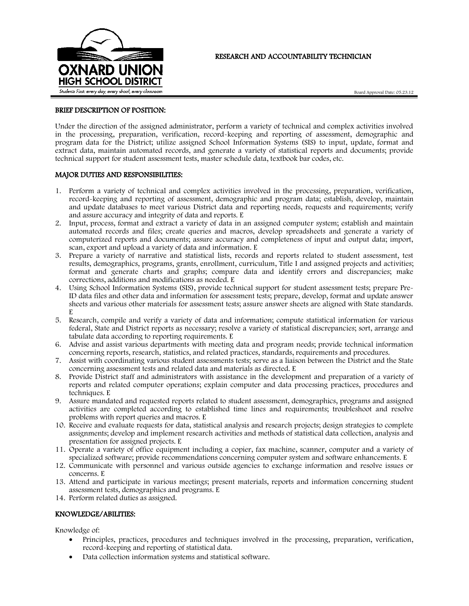

# RESEARCH AND ACCOUNTABILITY TECHNICIAN

#### BRIEF DESCRIPTION OF POSITION:

Under the direction of the assigned administrator, perform a variety of technical and complex activities involved in the processing, preparation, verification, record-keeping and reporting of assessment, demographic and program data for the District; utilize assigned School Information Systems (SIS) to input, update, format and extract data, maintain automated records, and generate a variety of statistical reports and documents; provide technical support for student assessment tests, master schedule data, textbook bar codes, etc.

#### MAJOR DUTIES AND RESPONSIBILITIES:

- 1. Perform a variety of technical and complex activities involved in the processing, preparation, verification, record-keeping and reporting of assessment, demographic and program data; establish, develop, maintain and update databases to meet various District data and reporting needs, requests and requirements; verify and assure accuracy and integrity of data and reports. E
- 2. Input, process, format and extract a variety of data in an assigned computer system; establish and maintain automated records and files; create queries and macros, develop spreadsheets and generate a variety of computerized reports and documents; assure accuracy and completeness of input and output data; import, scan, export and upload a variety of data and information. E
- 3. Prepare a variety of narrative and statistical lists, records and reports related to student assessment, test results, demographics, programs, grants, enrollment, curriculum, Title I and assigned projects and activities; format and generate charts and graphs; compare data and identify errors and discrepancies; make corrections, additions and modifications as needed. E
- 4. Using School Information Systems (SIS), provide technical support for student assessment tests; prepare Pre-ID data files and other data and information for assessment tests; prepare, develop, format and update answer sheets and various other materials for assessment tests; assure answer sheets are aligned with State standards. E
- 5. Research, compile and verify a variety of data and information; compute statistical information for various federal, State and District reports as necessary; resolve a variety of statistical discrepancies; sort, arrange and tabulate data according to reporting requirements. E
- 6. Advise and assist various departments with meeting data and program needs; provide technical information concerning reports, research, statistics, and related practices, standards, requirements and procedures.
- 7. Assist with coordinating various student assessments tests; serve as a liaison between the District and the State concerning assessment tests and related data and materials as directed. E
- 8. Provide District staff and administrators with assistance in the development and preparation of a variety of reports and related computer operations; explain computer and data processing practices, procedures and techniques. E
- 9. Assure mandated and requested reports related to student assessment, demographics, programs and assigned activities are completed according to established time lines and requirements; troubleshoot and resolve problems with report queries and macros. E
- 10. Receive and evaluate requests for data, statistical analysis and research projects; design strategies to complete assignments; develop and implement research activities and methods of statistical data collection, analysis and presentation for assigned projects. E
- 11. Operate a variety of office equipment including a copier, fax machine, scanner, computer and a variety of specialized software; provide recommendations concerning computer system and software enhancements. E
- 12. Communicate with personnel and various outside agencies to exchange information and resolve issues or concerns. E
- 13. Attend and participate in various meetings; present materials, reports and information concerning student assessment tests, demographics and programs. E
- 14. Perform related duties as assigned.

## KNOWLEDGE/ABILITIES:

Knowledge of:

- Principles, practices, procedures and techniques involved in the processing, preparation, verification, record-keeping and reporting of statistical data.
- Data collection information systems and statistical software.